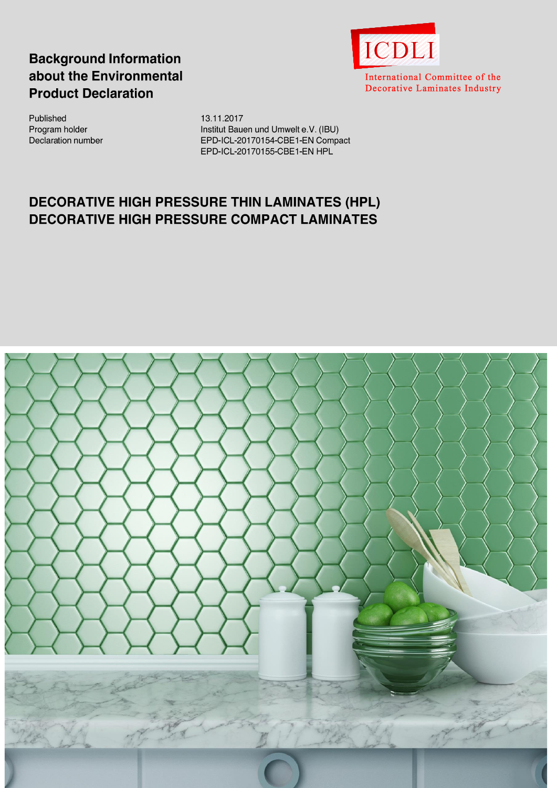# **Background Information** about the Environmental **Product Declaration**



International Committee of the Decorative Laminates Industry

Published Program holder Declaration number 13.11.2017 Institut Bauen und Umwelt e.V. (IBU) EPD-ICL-20170154-CBE1-EN Compact EPD-ICL-20170155-CBE1-EN HPL

# **DECORATIVE HIGH PRESSURE THIN LAMINATES (HPL) DECORATIVE HIGH PRESSURE COMPACT LAMINATES**

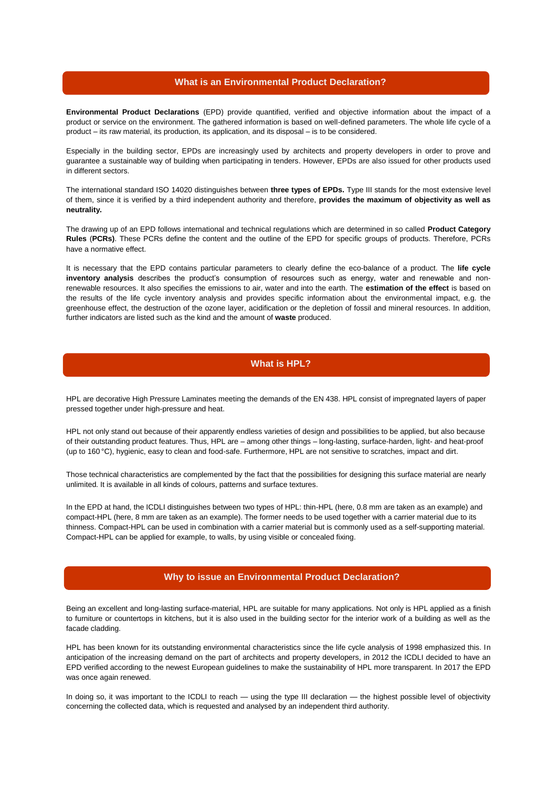#### **What is an Environmental Product Declaration?**

**Environmental Product Declarations** (EPD) provide quantified, verified and objective information about the impact of a product or service on the environment. The gathered information is based on well-defined parameters. The whole life cycle of a product – its raw material, its production, its application, and its disposal – is to be considered.

Especially in the building sector, EPDs are increasingly used by architects and property developers in order to prove and guarantee a sustainable way of building when participating in tenders. However, EPDs are also issued for other products used in different sectors.

The international standard ISO 14020 distinguishes between three types of EPDs. Type III stands for the most extensive level of them, since it is verified by a third independent authority and therefore, **provides the maximum of objectivity as well as neutrality.**

The drawing up of an EPD follows international and technical regulations which are determined in so called **Product Category Rules** (**PCRs)**. These PCRs define the content and the outline of the EPD for specific groups of products. Therefore, PCRs have a normative effect.

It is necessary that the EPD contains particular parameters to clearly define the eco-balance of a product. The **life cycle inventory analysis** describes the product's consumption of resources such as energy, water and renewable and nonrenewable resources. It also specifies the emissions to air, water and into the earth. The **estimation of the effect** is based on the results of the life cycle inventory analysis and provides specific information about the environmental impact, e.g. the greenhouse effect, the destruction of the ozone layer, acidification or the depletion of fossil and mineral resources. In addition, further indicators are listed such as the kind and the amount of **waste** produced.

## **What is HPL?**

HPL are decorative High Pressure Laminates meeting the demands of the EN 438. HPL consist of impregnated layers of paper pressed together under high-pressure and heat.

HPL not only stand out because of their apparently endless varieties of design and possibilities to be applied, but also because of their outstanding product features. Thus, HPL are – among other things – long-lasting, surface-harden, light- and heat-proof (up to 160 °C), hygienic, easy to clean and food-safe. Furthermore, HPL are not sensitive to scratches, impact and dirt.

Those technical characteristics are complemented by the fact that the possibilities for designing this surface material are nearly unlimited. It is available in all kinds of colours, patterns and surface textures.

In the EPD at hand, the ICDLI distinguishes between two types of HPL: thin-HPL (here, 0.8 mm are taken as an example) and compact-HPL (here, 8 mm are taken as an example). The former needs to be used together with a carrier material due to its thinness. Compact-HPL can be used in combination with a carrier material but is commonly used as a self-supporting material. Compact-HPL can be applied for example, to walls, by using visible or concealed fixing.

### **Why to issue an Environmental Product Declaration?**

Being an excellent and long-lasting surface-material, HPL are suitable for many applications. Not only is HPL applied as a finish to furniture or countertops in kitchens, but it is also used in the building sector for the interior work of a building as well as the facade cladding.

HPL has been known for its outstanding environmental characteristics since the life cycle analysis of 1998 emphasized this. In anticipation of the increasing demand on the part of architects and property developers, in 2012 the ICDLI decided to have an EPD verified according to the newest European guidelines to make the sustainability of HPL more transparent. In 2017 the EPD was once again renewed.

In doing so, it was important to the ICDLI to reach — using the type III declaration — the highest possible level of objectivity concerning the collected data, which is requested and analysed by an independent third authority.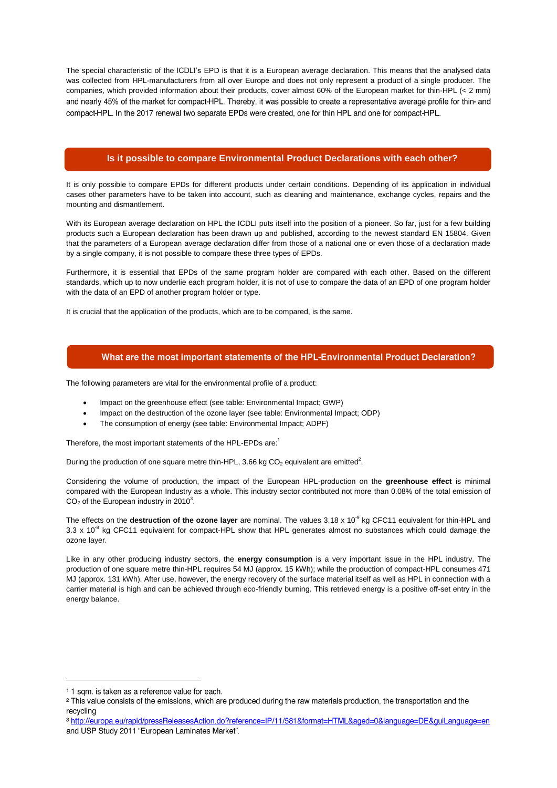The special characteristic of the ICDLI's EPD is that it is a European average declaration. This means that the analysed data was collected from HPL-manufacturers from all over Europe and does not only represent a product of a single producer. The companies, which provided information about their products, cover almost 60% of the European market for thin-HPL (< 2 mm) and nearly 45% of the market for compact-HPL. Thereby, it was possible to create a representative average profile for thin- and compact-HPL. In the 2017 renewal two separate EPDs were created, one for thin HPL and one for compact-HPL.

#### **Is it possible to compare Environmental Product Declarations with each other?**

It is only possible to compare EPDs for different products under certain conditions. Depending of its application in individual cases other parameters have to be taken into account, such as cleaning and maintenance, exchange cycles, repairs and the mounting and dismantlement.

With its European average declaration on HPL the ICDLI puts itself into the position of a pioneer. So far, just for a few building products such a European declaration has been drawn up and published, according to the newest standard EN 15804. Given that the parameters of a European average declaration differ from those of a national one or even those of a declaration made by a single company, it is not possible to compare these three types of EPDs.

Furthermore, it is essential that EPDs of the same program holder are compared with each other. Based on the different standards, which up to now underlie each program holder, it is not of use to compare the data of an EPD of one program holder with the data of an EPD of another program holder or type.

It is crucial that the application of the products, which are to be compared, is the same.

### What are the most important statements of the HPL-Environmental Product Declaration?

The following parameters are vital for the environmental profile of a product:

- Impact on the greenhouse effect (see table: Environmental Impact; GWP)
- Impact on the destruction of the ozone layer (see table: Environmental Impact; ODP)
- The consumption of energy (see table: Environmental Impact; ADPF)

Therefore, the most important statements of the HPL-EPDs are:<sup>1</sup>

During the production of one square metre thin-HPL, 3.66 kg CO<sub>2</sub> equivalent are emitted<sup>2</sup>.

Considering the volume of production, the impact of the European HPL-production on the **greenhouse effect** is minimal compared with the European Industry as a whole. This industry sector contributed not more than 0.08% of the total emission of  $CO<sub>2</sub>$  of the European industry in 2010<sup>3</sup>.

The effects on the **destruction of the ozone layer** are nominal. The values 3.18 x 10<sup>-9</sup> kg CFC11 equivalent for thin-HPL and 3.3 x 10<sup>-8</sup> kg CFC11 equivalent for compact-HPL show that HPL generates almost no substances which could damage the ozone layer.

Like in any other producing industry sectors, the **energy consumption** is a very important issue in the HPL industry. The production of one square metre thin-HPL requires 54 MJ (approx. 15 kWh); while the production of compact-HPL consumes 471 MJ (approx. 131 kWh). After use, however, the energy recovery of the surface material itself as well as HPL in connection with a carrier material is high and can be achieved through eco-friendly burning. This retrieved energy is a positive off-set entry in the energy balance.

<sup>&</sup>lt;sup>1</sup> 1 sqm. is taken as a reference value for each.

<sup>&</sup>lt;sup>2</sup> This value consists of the emissions, which are produced during the raw materials production, the transportation and the recvclina

<sup>3</sup> http://europa.eu/rapid/pressReleasesAction.do?reference=IP/11/581&format=HTML&aged=0&language=DE&guiLanguage=en and USP Study 2011 "European Laminates Market".